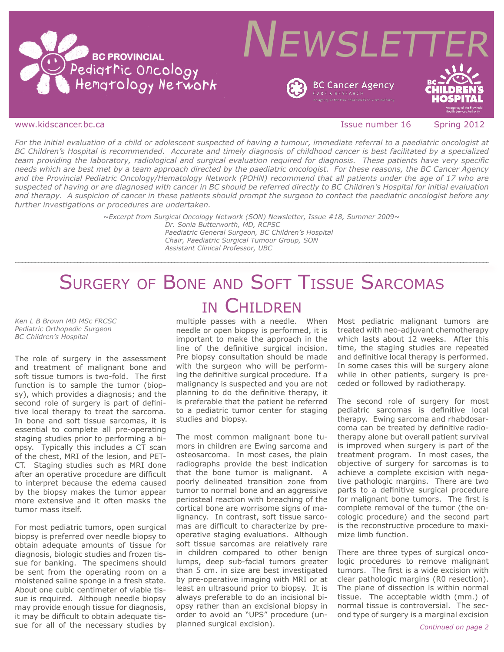



www.kidscancer.bc.ca **Issue number 16** Spring 2012

*For the initial evaluation of a child or adolescent suspected of having a tumour, immediate referral to a paediatric oncologist at BC Children's Hospital is recommended. Accurate and timely diagnosis of childhood cancer is best facilitated by a specialized team providing the laboratory, radiological and surgical evaluation required for diagnosis. These patients have very specific needs which are best met by a team approach directed by the paediatric oncologist. For these reasons, the BC Cancer Agency and the Provincial Pediatric Oncology/Hematology Network (POHN) recommend that all patients under the age of 17 who are suspected of having or are diagnosed with cancer in BC should be referred directly to BC Children's Hospital for initial evaluation and therapy. A suspicion of cancer in these patients should prompt the surgeon to contact the paediatric oncologist before any further investigations or procedures are undertaken.*

> *~Excerpt from Surgical Oncology Network (SON) Newsletter, Issue #18, Summer 2009~ Dr. Sonia Butterworth, MD, RCPSC Paediatric General Surgeon, BC Children's Hospital*

> > *Chair, Paediatric Surgical Tumour Group, SON Assistant Clinical Professor, UBC*

# Surgery of Bone and Soft Tissue Sarcomas in Children

*Ken L B Brown MD MSc FRCSC Pediatric Orthopedic Surgeon BC Children's Hospital*

The role of surgery in the assessment and treatment of malignant bone and soft tissue tumors is two-fold. The first function is to sample the tumor (biopsy), which provides a diagnosis; and the second role of surgery is part of definitive local therapy to treat the sarcoma. In bone and soft tissue sarcomas, it is essential to complete all pre-operating staging studies prior to performing a biopsy. Typically this includes a CT scan of the chest, MRI of the lesion, and PET-CT. Staging studies such as MRI done after an operative procedure are difficult to interpret because the edema caused by the biopsy makes the tumor appear more extensive and it often masks the tumor mass itself.

For most pediatric tumors, open surgical biopsy is preferred over needle biopsy to obtain adequate amounts of tissue for diagnosis, biologic studies and frozen tissue for banking. The specimens should be sent from the operating room on a moistened saline sponge in a fresh state. About one cubic centimeter of viable tissue is required. Although needle biopsy may provide enough tissue for diagnosis, it may be difficult to obtain adequate tissue for all of the necessary studies by

multiple passes with a needle. When needle or open biopsy is performed, it is important to make the approach in the line of the definitive surgical incision. Pre biopsy consultation should be made with the surgeon who will be performing the definitive surgical procedure. If a malignancy is suspected and you are not planning to do the definitive therapy, it is preferable that the patient be referred to a pediatric tumor center for staging studies and biopsy.

The most common malignant bone tumors in children are Ewing sarcoma and osteosarcoma. In most cases, the plain radiographs provide the best indication that the bone tumor is malignant. A poorly delineated transition zone from tumor to normal bone and an aggressive periosteal reaction with breaching of the cortical bone are worrisome signs of malignancy. In contrast, soft tissue sarcomas are difficult to characterize by preoperative staging evaluations. Although soft tissue sarcomas are relatively rare in children compared to other benign lumps, deep sub-facial tumors greater than 5 cm. in size are best investigated by pre-operative imaging with MRI or at least an ultrasound prior to biopsy. It is always preferable to do an incisional biopsy rather than an excisional biopsy in order to avoid an "UPS" procedure (unplanned surgical excision).

Most pediatric malignant tumors are treated with neo-adjuvant chemotherapy which lasts about 12 weeks. After this time, the staging studies are repeated and definitive local therapy is performed. In some cases this will be surgery alone while in other patients, surgery is preceded or followed by radiotherapy.

The second role of surgery for most pediatric sarcomas is definitive local therapy. Ewing sarcoma and rhabdosarcoma can be treated by definitive radiotherapy alone but overall patient survival is improved when surgery is part of the treatment program. In most cases, the objective of surgery for sarcomas is to achieve a complete excision with negative pathologic margins. There are two parts to a definitive surgical procedure for malignant bone tumors. The first is complete removal of the tumor (the oncologic procedure) and the second part is the reconstructive procedure to maximize limb function.

There are three types of surgical oncologic procedures to remove malignant tumors. The first is a wide excision with clear pathologic margins (R0 resection). The plane of dissection is within normal tissue. The acceptable width (mm.) of normal tissue is controversial. The second type of surgery is a marginal excision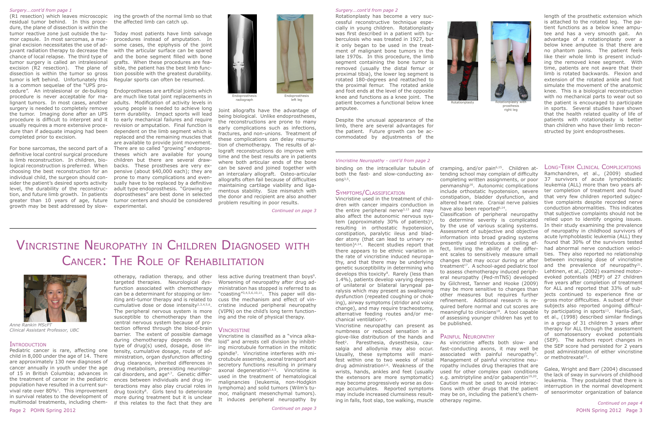(R1 resection) which leaves microscopic residual tumor behind. In this procedure, the plane of dissection is within the tumor reactive zone just outside the tumor capsule. In most sarcomas, a marginal excision necessitates the use of adjuvant radiation therapy to decrease the chance of local relapse. The third type of tumor surgery is called an intralesional excision (R2 resection). The plane of dissection is within the tumor so gross tumor is left behind. Unfortunately this is a common sequelae of the "UPS procedure". An intralesional or de-bulking procedure is never acceptable for malignant tumors. In most cases, another surgery is needed to completely remove the tumor. Imaging done after an UPS procedure is difficult to interpret and it usually requires a more extensive procedure than if adequate imaging had been completed prior to excision.

For bone sarcomas, the second part of a definitive local control surgical procedure is limb reconstruction. In children, biological reconstruction is preferred. When choosing the best reconstruction for an individual child, the surgeon should consider the patient's desired sports activity level, the durability of the reconstruction, and future limb growth. In patients greater than 10 years of age, future growth may be best addressed by slow-

ing the growth of the normal limb so that the affected limb can catch up.

Today most patients have limb salvage procedures instead of amputation. In some cases, the epiphysis of the joint with the articular surface can be spared and the bone segment filled with bone grafts. When these procedures are feasible, the patient has the best limb function possible with the greatest durability. Regular sports can often be resumed.

left leg and the comes a functional below knee and the Rotationplasty with patient becomes a functional below knee Rotationplasty has become a very successful reconstructive technique especially in young children. Rotationplasty was first described in a patient with tuberculosis who was treated in 1927, but it only began to be used in the treatment of malignant bone tumors in the late 1970s. In this procedure, the limb segment containing the bone tumor is removed (usually the distal femur or proximal tibia), the lower leg segment is rotated 180-degrees and reattached to the proximal femur. The rotated ankle and foot ends at the level of the opposite knee and functions as a knee joint. The amputee.

Endoprostheses are artificial joints which are much like total joint replacements in adults. Modification of activity levels in young people is needed to achieve long term durability. Impact sports will lead to early mechanical failures and require revision or amputation. Final function is dependent on the limb segment which is replaced and the remaining muscles that are available to provide joint movement. There are so called "growing" endoprostheses which are available for young children but there are several drawbacks. These prostheses are very expensive (about \$40,000 each); they are prone to many complications and eventually have to be replaced by a definitive adult type endoprosthesis. "Growing endoprostheses" are best done in selected tumor centers and should be considered experimental.

Joint allografts have the advantage of being biological. Unlike endoprostheses, the reconstructions are prone to many early complications such as infections, fractures, and non-unions. Treatment of these complications can delay resumption of chemotherapy. The results of allograft reconstructions do improve with time and the best results are in patients where both articular ends of the bone can be saved and joined together with an intercalary allograft. Osteo-articular allografts often fail because of difficulties maintaining cartilage viability and ligamentous stability. Size mismatch with the donor and recipient are also another problem resulting in poor results.

### *Surgery...cont'd from page 1*



radiograph



prosthesis right leg

less active during treatment than boys<sup>9</sup>. Worsening of neuropathy after drug administration has stopped is referred to as "coasting"3,4,5,6,10,11. This paper will discuss the mechanism and effect of vincristine induced peripheral neuropathy (VIPN) on the child's long term functioning and the role of physical therapy.



Rotationplasty

binding on the intracellular tubulin of both the fast- and slow-conducting axons $3,5$ .

Vincristine used in the treatment of children with cancer impairs conduction in the entire peripheral nerve $3,13$  and may also affect the autonomic nervous system (approximately 30% of patients)<sup>3</sup>, resulting in orthostatic hypotension, constipation, paralytic ileus and bladder atony (that can lead to urinary retention)4,14. Recent studies report that there appears to be ethnic variation in the rate of vincristine induced neuropathy, and that there may be underlying genetic susceptibility in determining who develops this toxicity<sup>8</sup>. Rarely (less than 1.4%), patients develop varying degrees of unilateral or bilateral laryngeal paralysis which may present as swallowing dysfunction (repeated coughing or choking), airway symptoms (stridor and voice change), and may require tracheostomy, alternative feeding routes and/or mechanical ventilation<sup>14</sup>.

Despite the unusual appearance of the

limb, there are several advantages for the patient. Future growth can be accommodated by adjustments of the

> cramping, and/or pain<sup>6,15</sup>. Children attending school may complain of difficulty completing written assignments, or poor penmanship16. Autonomic complications include orthostatic hypotension, severe constipation, bladder dysfunction, and altered heart rate. Cranial nerve palsies

length of the prosthetic extension which is attached to the rotated leg. The patient functions as a below knee amputee and has a very smooth gait. An advantage of a rotationplasty over a below knee amputee is that there are no phantom pains. The patient feels like their whole limb is present including the removed knee segment. With time, patients are not aware that their limb is rotated backwards. Flexion and extension of the rotated ankle and foot simulate the movement of the anatomic knee. This is a biological reconstruction with no mechanical parts to wear out so the patient is encouraged to participate in sports. Several studies have shown that the health related quality of life of patients with rotationplasty is better than children who have their limb reconstructed by joint endoprostheses.

have also been reported<sup>6,14</sup>. be published.

# PAINFUL NEUROPATHY

*Continued on page 3*

## *Surgery...cont'd from page 2*

# Vincristine Neuropathy in Children Diagnosed with Cancer: The Role of Rehabilitation

### Introduction

Pediatric cancer is rare, affecting one child in 8,000 under the age of 14. There are approximately 130 new diagnoses of cancer annually in youth under the age of 15 in British Columbia; advances in the treatment of cancer in the pediatric population have resulted in a current survival rate over 80%1. This improvement in survival relates to the development of multimodal treatments, including chem-

otherapy, radiation therapy, and other targeted therapies. Neurological dysfunction associated with chemotherapy can be a determinant for stopping or limiting anti-tumor therapy and is related to cumulative dose or dose intensity<sup>2,3,4,5,6</sup>. The peripheral nervous system is more susceptible to chemotherapy than the central nervous system because of protection offered through the blood-brain VINCRISTINE barrier. The extent of possible damage during chemotherapy depends on the type of drug(s) used, dosage, dose intensity, cumulative dosage, route of administration, organ dysfunction affecting drug clearance, inherited differences in drug metabolism, preexisting neurological disorders, and age<sup>4,7</sup>. Genetic differences between individuals and drug interactions may also play crucial roles in drug toxicity<sup>8</sup>. Girls tend to deteriorate more during treatment but it is unclear if this relates to the fact that they are

Vincristine is classified as a "vinca alkaloid" and arrests cell division by inhibiting microtubule formation in the mitotic spindle5. Vincristine interferes with microtubule assembly, axonal transport and secretory functions resulting in primary axonal degeneration3,4,5. Vincristine is used in the treatment of hematological malignancies (leukemia, non-Hodgkin lymphoma) and solid tumors (Wilm's tumor, malignant mesenchymal tumors). It induces peripheral neuropathy by



*Anne Rankin MScPT Clinical Assistant Professor, UBC*

## Symptoms/Classification

Vincristine neuropathy can present as numbness or reduced sensation in a glove-like distribution of the hands and feet<sup>2</sup>. Paresthesia, dysesthesia, causalgia and allodynia may also occur. Usually, these symptoms will manifest within one to two weeks of initial drug administration<sup>2,6</sup>. Weakness of the wrists, hands, ankles and feet (usually the extensors are more symptomatic) may become progressively worse as dosage accumulates. Reported symptoms may include increased clumsiness resulting in falls, foot slap, toe walking, muscle

Classification of peripheral neuropathy to determine severity is complicated by the use of various scaling systems. Assessment of subjective and objective information into broad grading systems presently used introduces a ceiling effect, limiting the ability of the different scales to sensitively measure small changes that may occur during or after treatment<sup>17</sup>. A school-aged pediatric tool to assess chemotherapy induced peripheral neuropathy (Ped-mTNS) developed by Gilchrest, Tanner and Hooke (2009) may be more sensitive to changes than other measures but requires further refinement. Additional research is required before normal and cut scores are meaningful to clinicians<sup>18</sup>. A tool capable of assessing younger children has yet to

# Long-Term Clinical Complications

As vincristine affects both slow- and fast-conducting axons, it may well be associated with painful neuropathy<sup>3</sup>. Management of painful vincristine neuropathy includes drug therapies that are used for other complex pain conditions e.g. amitriptyline and/or gabapentin<sup>19,20</sup>. Caution must be used to avoid interactions with other drugs that the patient may be on, including the patient's chemotherapy regime. the SEP score had persisted for 2 years post administration of either vincristine or methotrexate<sup>22</sup>. Galea, Wright and Barr (2004) discussed the lack of sway in survivors of childhood leukemia. They postulated that there is interruption in the normal development of sensorimotor organization of balance

Ramchandren, et al., (2009) studied 37 survivors of acute lymphoblastic leukemia (ALL) more than two years after completion of treatment and found that very few children reported subjective complaints despite recorded nerve conduction abnormalities. This indicates that subjective complaints should not be relied upon to identify ongoing issues. In their study examining the prevalence of neuropathy in childhood survivors of acute lymphoblastic leukemia (ALL) they found that 30% of the survivors tested had abnormal nerve conduction velocities. They also reported no relationship between increasing dose of vincristine and the prevalence of neuropathy $^{21}$ . Lehtinen, et al., (2002) examined motorevoked potentials (MEP) of 27 children five years after completion of treatment for ALL and reported that 33% of subjects continued to experience fine or gross motor difficulties. A subset of their subjects also reported ongoing difficulty participating in sports $13$ . Harila-Sari, et al., (1998) described similar findings in a group of 31 children 3 years after therapy for ALL through the assessment of somatosensory evoked potentials (SEP). The authors report changes in

### *Vincristine Neuropathy - cont'd from page 2*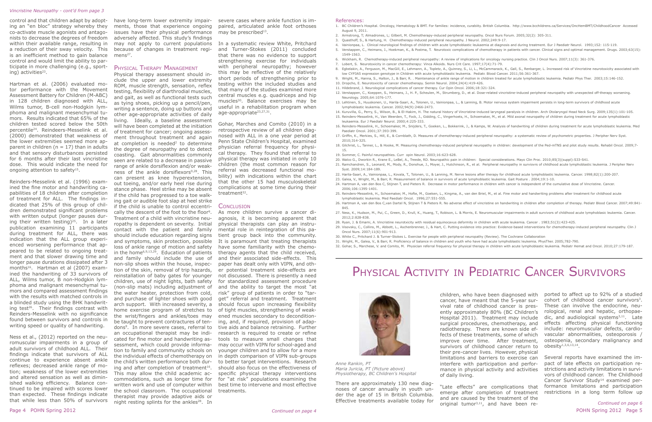control and that children adapt by adopting an "en bloc" strategy whereby they co-activate muscle agonists and antagonists to decrease the degrees of freedom within their available range, resulting in a reduction of their sway velocity. This is an inefficient method to gain balance control and would limit the ability to participate in more challenging (e.g., sporting) activities $23$ .

### *Vincristine Neuropathy - cont'd from page 3*

Hartman et al. (2006) evaluated motor performance with the Movement Assessment Battery for Children (M-ABC) in 128 children diagnosed with ALL, Wilms tumor, B-cell non-Hodgkin lymphoma and malignant mesenchymal tumors. Results indicated that 65% of the children tested scored below the 50th percentile24. Reindeers-Messelink et al. (2000) demonstrated that weakness of the lower extremities seemed more apparent in children ( $n = 17$ ) than in adults and that sensory disturbances persisted for 6 months after their last vincristine dose. This would indicate the need for ongoing attention to safety<sup>15</sup>.

have long-term lower extremity impairments, those that experience ongoing issues have their physical performance adversely affected. This study's findings may not apply to current populations because of changes in treatment regi $mens<sup>27</sup>$ .

## PHYSICAL THERAPY MANAGEMENT

Physical therapy assessment should include the upper and lower extremity ROM, muscle strength, sensation, reflex testing, flexibility of diarthrodial muscles, and gait, as well as functional tests such as tying shoes, picking up a pencil/pen, writing a sentence, doing up buttons and other age-appropriate activities of daily living. Ideally, a baseline assessment will have been completed at the initiation of treatment for cancer; ongoing assessment throughout treatment and again at completion is needed<sup>2</sup> to determine the degree of neuropathy and to detect coasting. Gait abnormalities commonly seen are related to a decrease in passive range of ankle dorsiflexion and/or weakness of the ankle dorsiflexors<sup>9,28</sup>. This can present as knee hyperextension, out toeing, and/or early heel rise during stance phase. Heel strike may be absent if the child has progressed to a toe walking gait or audible foot slap at heel strike if the child is unable to control eccentrically the descent of the foot to the floor9. Treatment of a child with vincristine neuropathy is dependent on severity. Initial contact with the patient and family should include education regarding signs and symptoms, skin protection, possible loss of ankle range of motion and safety in the home<sup>6,9,13,29</sup>. Education of patients and family should include the use of non-slip shoes within the house, inspection of the skin, removal of trip hazards, reinstallation of baby gates for younger children, use of night lights, bath safety (non-slip mats) including adjustment of the water heater, protection from cold, and purchase of lighter shoes with good arch support. With increased severity, a home exercise program of stretches to of tight muscles, strengthening of weakthe wrist/fingers and ankles/toes may be taught to prevent contractures of tendons9. In more severe cases, referral to an occupational therapist may be indicated for fine motor and handwriting assessment, which could provide information to family and community schools on the individual effects of chemotherapy on the child's written performance both during and after completion of treatment<sup>16</sup>. This may allow the child academic accommodations, such as longer time for written work and use of computer within the school classroom. The occupational treatments. therapist may provide adaptive aids or night resting splints for the ankles<sup>28</sup>. In

Reinders-Messelink et al. (1996) examined the fine motor and handwriting capabilities of 18 children after completion of treatment for ALL. The findings indicated that 25% of this group of children demonstrated significant problems with written output (longer pauses during their written testing)<sup>25</sup>. In a later publication examining 11 participants during treatment for ALL, there was indication that the ALL group experienced worsening performance that appeared to be related to ongoing treatment and that slower drawing time and longer pause durations dissipated after 3 months<sup>16</sup>. Hartman et al (2007) examined the handwriting of 33 survivors of ALL, Wilms tumor, B non-Hodgkin lymphoma and malignant mesenchymal tumors and compared assessment findings with the results with matched controls in a blinded study using the BHK handwriting test $26$ . Their findings contrast with Reinders-Messelink with no significance found between survivors and controls in writing speed or quality of handwriting.

Ness et al., (2012) reported on the neuromuscular impairments in a group of adult survivors of childhood ALL. Their findings indicate that survivors of ALL continue to experience absent ankle reflexes; decreased ankle range of motion; weakness of the lower extremities and altered sensation as well as diminished walking efficiency. Balance continued to be impaired with scores lower than expected. These findings indicate that while less than 50% of survivors severe cases where ankle function is impaired, articulated ankle foot orthoses may be prescribed $13$ .

In a systematic review White, Pritchard and Turner-Stokes (2011) concluded that there was no evidence to support strengthening exercise for individuals with peripheral neuropathy; however this may be reflective of the relatively short periods of strengthening prior to testing within the included studies and that many of the studies examined more central muscles e.g. quadriceps and hip muscles<sup>30</sup>. Balance exercises may be useful in a rehabilitation program when age-appropriate<sup>23,27,31</sup>.

Gohar, Marches and Comito (2010) in a retrospective review of all children diagnosed with ALL in a one year period at Penn State Children's Hospital, examined physician referral frequency for physical therapy. They found that referral to physical therapy was initiated in only 10 children (the most common reason for referral was decreased functional mobility) with indications within the chart that the other 15 had musculoskeletal complications at some time during their treatment<sup>32</sup>.

# CONCLUSION

As more children survive a cancer diagnosis, it is becoming apparent that physical therapists can play an instrumental role in reintegration of this patient group back into the community. It is paramount that treating therapists have some familiarity with the chemotherapy agents that the child received, and their associated side-effects. This paper has dealt only with VIPN, and other potential treatment side-effects are not discussed. There is presently a need for standardized assessment procedure and the ability to target the most "at risk" group of patients in order to "target" referral and treatment. Treatment should focus upon increasing flexibility ened muscles secondary to deconditioning, and, if required, provision of adaptive aids and balance retraining. Further research is required to create or refine tools to measure small changes that may occur with VIPN for school-aged and younger children and to allow for a more in depth comparison of VIPN sub-groups to better target interventions. Research should also focus on the effectiveness of specific physical therapy interventions for "at risk" populations examining the best time to intervene and most effective

"Late effects" are complications that emerge after completion of treatment and are caused by the treatment of the original tumor<sup>3,11</sup>, and have been re-

ported to affect up to 92% of a studied cohort of childhood cancer survivors<sup>3</sup>. These can involve the endocrine, neurological, renal and hepatic, orthopaedic, and audiological systems $^{3,11}$ . Late effects affecting physical functioning include: neuromuscular defects, cardiovascular abnormalities, osteoporosis / osteopenia, secondary malignancy and  $obes$ ity<sup>1,3,6,13,14</sup>.

### References:

1. BC Children's Hospital. Oncology, Hematology & BMT. For families: incidence, curabiity. British Columbia. http://www.bcchildrens.ca/Services/OncHemBMT/ChildhoodCancer Accessed

5. Verstappen, C., Heimans, J., Hoekman, K., & Postma, T. Neurotoxic complications of chemotherapy in patients with cancer. Clinical signs and optimal management. Drugs. 2003;63(15):

8. Egbelakin, A., Ferguson, M., MacGill, E., Lehmann, A., Topletz, A., Quinney, S., Li, L., McCammarack, K., Gall, S., Renbarger, L. Increased risk of Vincristine neurotoxicity associated with

9. Wright, M., Hanna, S., Halton, J., & Barr, R. . Maintenance of ankle range of motion in children treated for acute lymphoblastic leukemia. Pediatr Phys Ther. 2003;15:146-152.

12. Verstappen, C., Koeppen, S., Heimans, J., H. P., Scheulen, M., Strumberg, D., et al. Dose-related vincristine-induced peripheral neuropathy with unexpected off-therapy worsening.

14. Kuruvilla, G., Perry, S., Wilson, B., & El-Hakim, H. The natural history of Vincristine-induced laryngeal paralysis in children. Arch Otolaryngol Head Neck Surg. 2009;135(1):101-105. 15. Reinders-Messelink, H., Van Weerden, T., Fock, J., Gidding, C., Vingerhoets, H., Schoemaker, M., et al. Mild axonal neuropathy of children during treatment for acute lymphoblastic

16. Reinders-Messelink, H., Schoemaker, M., Snijders, T., Goeken, L., Bokkerink, J., & Kamps, W. Analysis of handwriting of children during treatment for acute lymphoblastic leukemia. Med

- August 9, 2011.
- 2. Armstrong, T; Almadrones, L; Gilbert, M. Chemotherapy-induced peripheral neuropathy. Oncol Nurs Forum. 2005;32(2): 305-311.
- 3. Quasthoff, S., & Hartung, H. Chemotherapy-induced peripheral neuropathy. J Neurol. 2002;249:9-17.
- 4. Vainionpaa, L. Clinical neurological findings of children with acute lymphoblastic leukaemia at diagnosis and during treatment. Eur J Paediatr Neurol. 1993;152: 115-119.
- 1549-1563.
- 6. Wickham, R. Chemotherapy-induced peripheral neuropathy: A review of implications for oncology nursing practice. Clin J Oncol Nurs. 2007;11(3): 361-376.
- 7. Lobert, S. Neurotoxicity in cancer chemotherapy: Vinca Alkoids. Nurs Crit Care. 1997;17(4):71-79.
- low CYP3A5 expression genotype in Children with acute lymphoblastic leukemia. Pediatr. Blood Cancer. 2011;56:361-367.
- 
- 10. Dropcho, E. Neurotoxicity of cancer chemotherapy. Semin Neurol. 2004;24(4):419-426.
- 11. Hildebrand, J. Neurological complications of cancer therapy. Cur Opin Oncol. 2006;18:321-324.
- Neurology. 2005;64:1076-177.
- 13. Lehtinen, S., Huuskonen, U., Harila-Saari, A., Tolonen, U., Vainionpaa, L., & Lanning, B. Motor nervous system impairment persists in long-term survivors of childhood acute lymphoblastic leukemia. Cancer. 2002;94(9):2466-2473.
- leukaemia. Eur J Paediatr Neurol. 2000;4:225-333.
- Paediatr Oncol. 2001;37:393-399.
- 2010;314-325.
- 15.
- 19. Sommer, C. Painful neuropathies. Curr opin Neurol. 2003;16:623-628.
- 20. Walco G., Dworkin R., Krane E., LeBel, A., Treede, RD. Neuropathic pain in children: Special considerations. Mayo Clin Proc. 2010;85(3)(suppl):S33-S41.
- Syst. 2009;14:184-189.
- 22. Harila-Saari, A., Vainionpaa, L., Kovala, T., Tolonen, U., & Lanning, M. Nerve lesions after therapy for childhood acute lymphoblastic leukemia. Cancer. 1998;82(1):200-207.
- 23. Galea, V., Wright, M., & Barr, R. Measurement of balance in survivors of acute lymphoblastic leukemia. Gait Posture . 2004;19:1-10.
- 24. Hartman A, van den Bos C, Stijnen T, and Pieters R. Decrease in motor performance in children with cancer is independent of the cumulative dose of Vincristine. Cancer. 2006;106:1395-1401.
- 25. Reinders-Messelink, H., Schoemaker, M., Hofte, M., Goeken, L., Kingma, A., van den Briel, M., et al. Fine motor and handwriting problems after treatment for childhood acute lymphoblastic leukemia. Med Paediatr Oncol. 1996;27:551-555.
- 845.
- 2012;2:828-838.
- 28. Ryan, J. & Emami, A. Vincristine neurotxicity with residual equinocavus deformity in children with acute leukemia. Cancer . 1983;51(3):423-425.
- Oncol Nurs. 2007;11(6):901-913.
- 30. White C., Pritchard J. & Turner-Stokes L. Exercise for people with peripheral neuropathy (Review). The Cochrane Collaboration
- 31. Wright, M., Galea, V., & Barr, R. Proficiency of balance in children and youth who have had acute lymphoblastic leukemia. PhysTher. 2005;782-790.
- 

17. Griffin, K., Merkies, S., Hill, E., & Cornblath, D. Measures of chemotherapy-induced peripheral neuropathy: a systematic review of psychometric properties. J Peripher Nerv Syst.

18. Gilchrist, L., Tanner, L., & Hooke, M. Measuring chemotherapy-induced peripheral neuropathy in children: development of the Ped-mTNS and pilot study results. Rehabil Oncol. 2009;7-

21. Ramchandren, S., Leonard, M., Mody, R., Donohue, J., Moyer, J., Hutchinson, R., et al. Peripheral neuropathy in surviovrs of childhood acute lymphoblastic leukemia. J Peripher Nerv

26. Hartman A, van den Bos C,van Dartel N, Stijnen T & Pieters R. No adverse effect of vincristine on handwriting in children after completion of therapy. Pediatr Blood Cancer. 2007;49:841-

27. Ness, K., Hudson, M., Pui, C., Green, D., Krull, K., Huang, T., Robison, L. & Morris, E. Neuromuscular impairments in adult survivors of childhood acute lymphoblasic leukemia. Cancer.

29. Visovsky, C., Collins, M., Abbott, L., Aschenbrenner, J., & Hart, C. Putting evidence into practice: Evidence-based interventions for chemotherapy-induced peripheral neuropathy. Clin J

32. Gohar, S., Marchese, V. and Comito, M. Physician referral frequency for physical therapy in children with acute lymphoblastic leukemia. Pediatr Hemat and Oncol. 2010;27:179-187.

# Physical Activity in Pediatric Cancer Survivors



There are approximately 130 new diagnoses of cancer annually in youth under the age of 15 in British Columbia. Effective treatments available today for

children, who have been diagnosed with cancer, have meant that the 5-year survival rate of childhood cancer is presently approximately 80% (BC Children's Hospital 2011). Treatment may include surgical procedures, chemotherapy, and radiotherapy. There are known side effects of these treatments, some of which improve over time. After treatment, survivors of childhood cancer return to their pre-cancer lives. However, physical limitations and barriers to exercise can interfere with participation and performance in physical activity and activities of daily living.

Several reports have examined the impact of late effects on participation restrictions and activity limitations in survivors of childhood cancer. The Childhood Cancer Survivor Study<sup>14</sup> examined performance limitations and participation restrictions in a long term follow up

*Anne Rankin, PT Maria Juricia, PT (Picture above) Physiotherapy, BC Children's Hospital*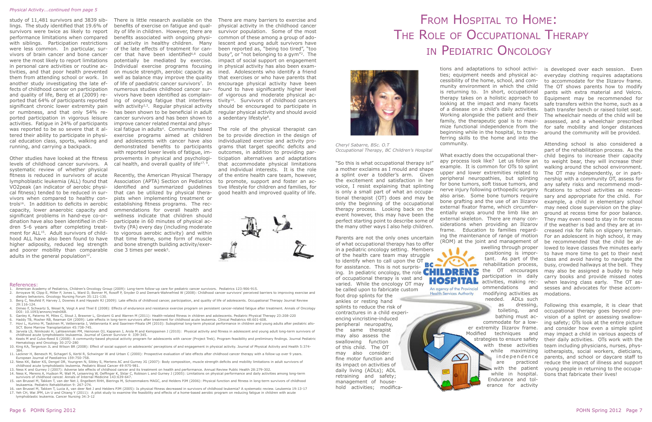"So this is what occupational therapy is!" a mother exclaims as I mould and shape a splint over a toddler's arm. Given the excitement and satisfaction in her voice, I resist explaining that splinting is only a small part of what an occupational therapist (OT) does and may be only the beginning of the occupational therapy process. Looking back on the event however, this may have been the perfect starting point to describe some of the many other ways I also help children.

Parents are not the only ones uncertain of what occupational therapy has to offer in a pediatric oncology setting. Members of the health care team may struggle to identify when to call upon the OT **BC** for assistance. This is not surprising. In pediatric oncology, the role **CHILDREN'S** of occupational therapy is vast and varied. While the oncology OT may be called upon to fabricate custom foot drop splints for the ankles or resting hand splints to reduce the risk of contractures in a child experiencing vincristine-induced peripheral neuropathy, the same therapist may also assess the swallowing function of this child. The OT may also consider: fine motor function and its impact on activities of daily living (ADLs); ADL retraining and safety; management of household activities; modifica-

tions and adaptations to school activities; equipment needs and physical accessibility of the home, school, and community environment in which the child is returning to. In short, occupational therapy takes on a holistic approach to looking at the impact and many facets of a disease on a child's daily activities. Working alongside the patient and their family, the therapeutic goal is to maximize functional independence from the beginning while in the hospital, to transferring skills to the home and into the community. is developed over each session. Even everyday clothing requires adaptations to accommodate for the Ilizarov frame. The OT shows parents how to modify pants with extra material and Velcro. Equipment may be recommended for safe transfers within the home, such as a bath transfer bench or raised toilet seat. The wheelchair needs of the child will be assessed, and a wheelchair prescribed for safe mobility and longer distances around the community will be provided. Attending school is also considered a

Other studies have looked at the fitness levels of childhood cancer survivors. A systematic review of whether physical fitness is reduced in survivors of acute lymphoblastic leukemia (ALL) found that VO2peak (an indicator of aerobic physical fitness) tended to be reduced in survivors when compared to healthy controls<sup>16</sup>. In addition to deficits in aerobic capacity, lower anaerobic capacity and significant problems in hand-eye co-ordination have also been identified in children 5-6 years after completing treatment for ALL<sup>15</sup>. Adult survivors of childhood ALL have also been found to have higher adiposity, reduced leg strength and poorer mobility than comparable cise 3 times per week<sup>5</sup>. adults in the general population $12$ .

part of the rehabilitation process. As the What exactly does the occupational therchild begins to increase their capacity apy process look like? Let us follow an to weight bear, they will increase their example. It is common for OTs to splint walking around the school environment. upper and lower extremities related to The OT may independently, or in partnership with a community OT, assess for peripheral neuropathies, but splinting for bone tumors, soft tissue tumors, and any safety risks and recommend modinerve injury following orthopedic surgery fications to school activities as necesalso arise. Some bone tumors require sary and appropriate for the child. For bone grafting and the use of an Ilizarov example, a child in elementary school external fixator frame, which circumfermay need close supervision on the playentially wraps around the limb like an ground at recess time for poor balance. external skeleton. There are many con-They may even need to stay in for recess siderations when providing an Ilizarov if the weather is bad and they are at inframe. Education to families regardcreased risk for falls on slippery terrain. ing the maintenance of range of motion For an adolescent in high school, it may (ROM) at the joint and management of be recommended that the child be alswelling through proper lowed to leave classes five minutes early positioning is importo have more time to get to their next tant. As part of the class and avoid having to navigate the rehabilitation process, busy, crowded hallways at the bell. They the OT encourages may also be assigned a buddy to help participation in daily carry books and provide missed notes activities, making recwhen leaving class early. The OT as-An agency of the Provincial ommendations and sesses and advocates for these accom-**Health Services Authority** modifying activities as modations. needed. ADLs such as dressing, Following this example, it is clear that toileting, and occupational therapy goes beyond probathing must acvision of a splint or assessing swallowcommodate for a lowing safety; OTs look at the entire picture er extremity Ilizarov frame. and consider how even a simple splint Modified techniques and may impact a child in various aspects of strategies to ensure safety their daily activities. OTs work with the with these activities team including physicians, nurses, physwhile maximizing iotherapists, social workers, dieticians,  $\infty$ independence parents, and school or daycare staff to are practiced reduce the impact of illness and support with the patient young people in returning to the occupawhile in hospital. tions that fabricate their lives! Endurance and tolerance for activity



There is little research available on the benefits of exercise on fatigue and quality of life in children. However, there are benefits associated with ongoing physical activity in healthy children. Many of the late effects of treatment for cancer that have been identified $6,8$  could potentially be mediated by exercise. Individual exercise programs focusing on muscle strength, aerobic capacity as well as balance may improve the quality of life of paediatric cancer survivors<sup>7</sup>. In numerous studies childhood cancer survivors have been identified as complaining of ongoing fatigue that interferes with activity $2,3$ . Regular physical activity has been shown to be beneficial in adult cancer survivors and has been shown to improve cancer related mental and physical fatigue in adults<sup>4</sup>. Community based exercise programs aimed at children and adolescents with cancer have also demonstrated benefits to participants with reported lower levels of fatigue, improvements in physical and psychological health, and overall quality of life $17, 9$ .

There are many barriers to exercise and physical activity in the childhood cancer survivor population. Some of the most common of these among a group of adolescent and young adult survivors have been reported as, "being too tired", "too busy", or "not belonging to a gym"2. The impact of social support on engagement in physical activity has also been examined. Adolescents who identify a friend that exercises or who have parents that encourage physical activity have been found to have significantly higher level of vigorous and moderate physical activity<sup>10</sup>. Survivors of childhood cancers should be encouraged to participate in regular physical activity and should avoid a sedentary lifestyle<sup>8</sup>.

# From Hospital to Home: The Role of Occupational Therapy in Pediatric Oncology



*Cheryl Sabarre, BSc. O.T Occupational Therapy, BC Children's Hospital*

study of 11,481 survivors and 3839 siblings. The study identified that 19.6% of survivors were twice as likely to report performance limitations when compared with siblings. Participation restrictions were less common. In particular, survivors of brain cancer and bone cancer were the most likely to report limitations in personal care activities or routine activities, and that poor health prevented them from attending school or work. In another study investigating the late effects of childhood cancer on participation and quality of life, Berg et al (2009) reported that 64% of participants reported significant chronic lower extremity pain or numbness, and that only 54% reported participation in vigorous leisure activities. Fatigue in 24% of participants was reported to be so severe that it altered their ability to participate in physical education class, sports, walking and running, and carrying a backpack.

- 
- 1. American Academy of Pediatrics, Children's Oncology Group (2009): Long-term follow-up care for pediatric cancer survivors. Pediatrics 123:906-915.<br>2. Arroyave W, Clipp E, Miller P, Jones L, Ward D, Bonner M, Rosoff P, S dietary behaviors. Oncology Nursing Forum 35:121-130.
- 3. Berg C, Neufeld P, Harvey J, Downes A and Hayashi RJ (2009): Late effects of childhood cancer, participation, and quality of life of adolescents. Occupational Therapy Journal Review 29:116-124.
- 4. Dimeo F, Schwartz S, Wesel N, Voigt A and Thiel E (2008): Effects of endurance and resistance exercise program on persistent cancer-related fatigue after treatment. Annals of Oncology DOI: 10.1093/annonc/mdn068.
- 5. Ganley K, Paterno M, Miles C, Stout J, Brawner L, Girolami G and Warren M (2011): Health-related fitness in children and adolescents. Pediatric Physical Therapy 23:208-220
- 6. Haddy TB, Mosher RB, Reaman GH (2009): Late effects in long-term survivors after treatment for childhood acute leukemia. Clinical Pediatrics 48:601-608.
- 7. Hovi L, Kurimo M, Taskinen M, Vettenranta J, Vettenranta K and Saarinen-Pikala UM (2010): Suboptimal long-term physical performance in children and young adults after pediatric allo-SCT. Bone Marrow Transplantation 45:738-745. 8. Jarvela LS, Niinikoski H, Lahteenmaki PM, Heinonen OJ, Kapanen J, Arola M and Kemppainen J (2010): Physical activity and fitness in adolescent and young adult long-term survivors of
- childhood acute lymphoblastic leukaemia. Journal of Cancer Survivor 4: 339-345.
- 9. Keats M and Culos-Reed S (2008): A community-based physical activity program for adolescents with cancer (Project Trek). Program feasibility and preliminary findings. Journal Pediatric Hematology and Oncology 30:272-280
- 10. King KA, Tergerson JL and Wilson BR (2008): Effect of social support on adolescents' perceptions of and engagement in physical activity. Journal of Physical Activity and Health 5:374- 384. 11. Lackner H, Benesch M, Schagerl S, Kerbl R, Schwinger W and Urban C (2000): Prospective evaluation of late effects after childhood cancer therapy with a follow-up over 9 years.
- European Journal of Paediatrics 159:750-758. 12. Ness KK, Baker KS, Dengel DR, Youngren N, Sibley S, Mertens AC and Gurney JG (2007): Body composition, muscle strength deficits and mobility limitations in adult survivors of
- childhood acute lymphoblastic leukemia. Pediatric Blood Cancer 49:975-981.
- 13. Ness K and Gurney J (2007): Adverse late effects of childhood cancer and its treatment on health and performance. Annual Review Public Health 28:279-302.
- 14. Ness K, Merens A, Hudson M, Wall M, Leisenring W, Oeffinger K, Sklar C, Robison L and Gurney J (2005): Limitations on physical performance and daily activities among long-term survivors of childhood cancer. Annals of Internal Medicine 143:639-647. 15. van Brussel M, Takken T, van der Net J, Engelbert RHH, Bierings M, Schoenmakers MAGC, and Helders PJM (2006): Physical function and fitness in long-term survivors of childhood
- leukaemia. Pediatric Rehabilitation 9: 267-274. 16. van Brussel M, Takken T, Lucia A, van deer Net J and Helders PJM (2005): Is physical fitness decreased in survivors of childhood leukemia? A systematic review. Leukemia 19:13-17
- 17. Yeh CH, Wai JPM, Lin U and Chiang Y (2011): A pilot study to examine the feasibility and effects of a home-based aerobic program on reducing fatigue in children with acute lymphoblastic leukemia. Cancer Nursing 34:3-12

Recently, the American Physical Therapy Association (APTA) Section on Pediatrics identified and summarized guidelines that can be utilized by physical therapists when implementing treatment or establishing fitness programs. The recommendations for overall health and wellness indicate that children should participate in 60 minutes of physical activity (PA) every day (including moderate to vigorous aerobic activity) and within that time frame, some form of muscle and bone strength building activity/exer-

The role of the physical therapist can be to provide direction in the design of individualized exercise and activity programs that target specific deficits and outcomes, in addition to providing participation alternatives and adaptations that accommodate physical limitations and individual interests. It is the role of the entire health care team, however, to promote, support and foster an active lifestyle for children and families, for good health and improved quality of life.



### References:

### *Physical Activity...continued from page 5*